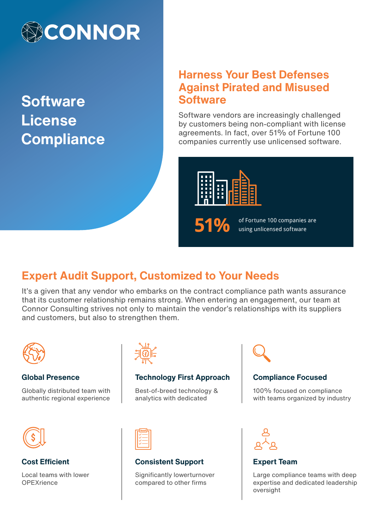

**Software License Compliance**

# **Harness Your Best Defenses Against Pirated and Misused Software**

Software vendors are increasingly challenged by customers being non-compliant with license agreements. In fact, over 51% of Fortune 100 companies currently use unlicensed software.



**51%** of Fortune 100 companies are using unlicensed software

# **Expert Audit Support, Customized to Your Needs**

It's a given that any vendor who embarks on the contract compliance path wants assurance that its customer relationship remains strong. When entering an engagement, our team at Connor Consulting strives not only to maintain the vendor's relationships with its suppliers and customers, but also to strengthen them.



#### **Global Presence**

Globally distributed team with authentic regional experience



## **Technology First Approach**

Best-of-breed technology & analytics with dedicated



# **Compliance Focused**

100% focused on compliance with teams organized by industry



**Cost Efficient**

Local teams with lower **OPEXrience** 



## **Consistent Support**

Significantly lowerturnover compared to other firms



## **Expert Team**

Large compliance teams with deep expertise and dedicated leadership oversight